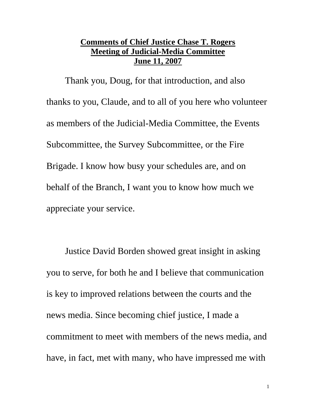## **Comments of Chief Justice Chase T. Rogers Meeting of Judicial-Media Committee June 11, 2007**

Thank you, Doug, for that introduction, and also thanks to you, Claude, and to all of you here who volunteer as members of the Judicial-Media Committee, the Events Subcommittee, the Survey Subcommittee, or the Fire Brigade. I know how busy your schedules are, and on behalf of the Branch, I want you to know how much we appreciate your service.

 Justice David Borden showed great insight in asking you to serve, for both he and I believe that communication is key to improved relations between the courts and the news media. Since becoming chief justice, I made a commitment to meet with members of the news media, and have, in fact, met with many, who have impressed me with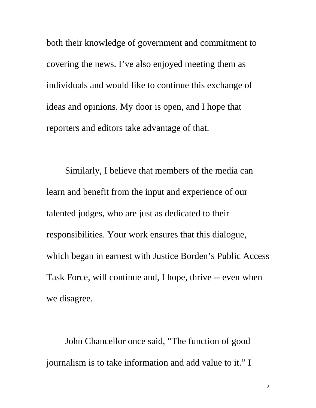both their knowledge of government and commitment to covering the news. I've also enjoyed meeting them as individuals and would like to continue this exchange of ideas and opinions. My door is open, and I hope that reporters and editors take advantage of that.

 Similarly, I believe that members of the media can learn and benefit from the input and experience of our talented judges, who are just as dedicated to their responsibilities. Your work ensures that this dialogue, which began in earnest with Justice Borden's Public Access Task Force, will continue and, I hope, thrive -- even when we disagree.

 John Chancellor once said, "The function of good journalism is to take information and add value to it." I